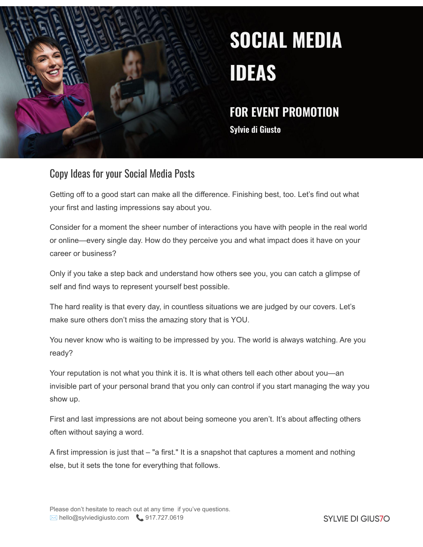

# **SOCIAL MEDIA IDEAS**

### **FOR EVENT PROMOTION**

**Sylvie di Giusto**

### Copy Ideas for your Social Media Posts

Getting off to a good start can make all the difference. Finishing best, too. Let's find out what your first and lasting impressions say about you.

Consider for a moment the sheer number of interactions you have with people in the real world or online—every single day. How do they perceive you and what impact does it have on your career or business?

Only if you take a step back and understand how others see you, you can catch a glimpse of self and find ways to represent yourself best possible.

The hard reality is that every day, in countless situations we are judged by our covers. Let's make sure others don't miss the amazing story that is YOU.

You never know who is waiting to be impressed by you. The world is always watching. Are you ready?

Your reputation is not what you think it is. It is what others tell each other about you—an invisible part of your personal brand that you only can control if you start managing the way you show up.

First and last impressions are not about being someone you aren't. It's about affecting others often without saying a word.

A first impression is just that – "a first." It is a snapshot that captures a moment and nothing else, but it sets the tone for everything that follows.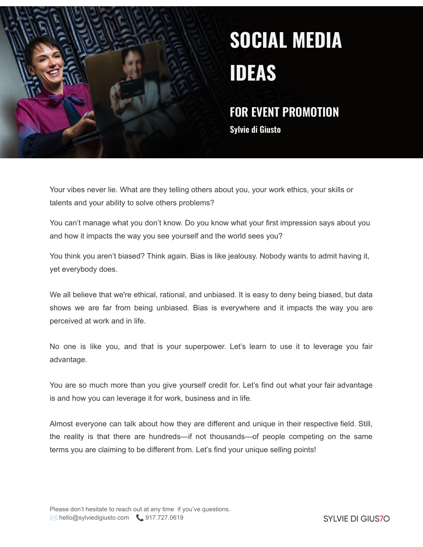

# **SOCIAL MEDIA IDEAS**

### **FOR EVENT PROMOTION**

**Sylvie di Giusto**

Your vibes never lie. What are they telling others about you, your work ethics, your skills or talents and your ability to solve others problems?

You can't manage what you don't know. Do you know what your first impression says about you and how it impacts the way you see yourself and the world sees you?

You think you aren't biased? Think again. Bias is like jealousy. Nobody wants to admit having it, yet everybody does.

We all believe that we're ethical, rational, and unbiased. It is easy to deny being biased, but data shows we are far from being unbiased. Bias is everywhere and it impacts the way you are perceived at work and in life.

No one is like you, and that is your superpower. Let's learn to use it to leverage you fair advantage.

You are so much more than you give yourself credit for. Let's find out what your fair advantage is and how you can leverage it for work, business and in life.

Almost everyone can talk about how they are different and unique in their respective field. Still, the reality is that there are hundreds—if not thousands—of people competing on the same terms you are claiming to be different from. Let's find your unique selling points!